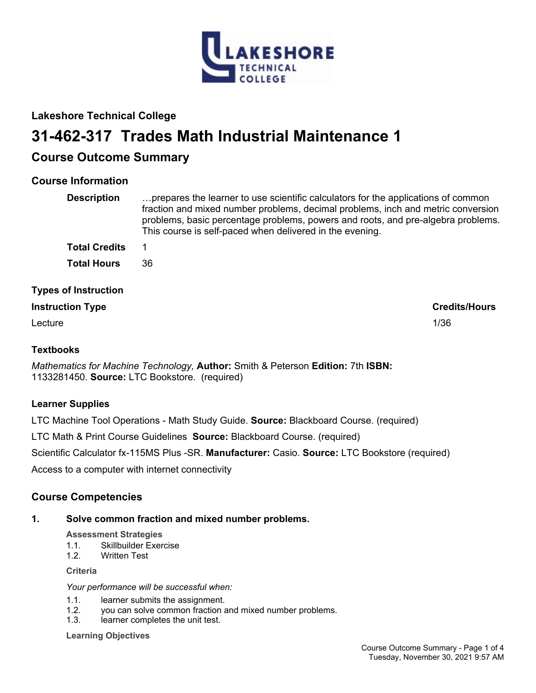

# **Lakeshore Technical College**

# **31-462-317 Trades Math Industrial Maintenance 1**

# **Course Outcome Summary**

# **Course Information**

| <b>Description</b>          | prepares the learner to use scientific calculators for the applications of common<br>fraction and mixed number problems, decimal problems, inch and metric conversion<br>problems, basic percentage problems, powers and roots, and pre-algebra problems.<br>This course is self-paced when delivered in the evening. |
|-----------------------------|-----------------------------------------------------------------------------------------------------------------------------------------------------------------------------------------------------------------------------------------------------------------------------------------------------------------------|
| <b>Total Credits</b>        |                                                                                                                                                                                                                                                                                                                       |
| <b>Total Hours</b>          | 36                                                                                                                                                                                                                                                                                                                    |
| <b>Types of Instruction</b> |                                                                                                                                                                                                                                                                                                                       |
| <b>Instruction Type</b>     | <b>Credits/Hours</b>                                                                                                                                                                                                                                                                                                  |

Lecture 2012 2013 2014 2022 2023 2024 2022 2023 2024 2022 2023 2024 2022 2023 2024 2022 2023 2024 2023 2024 20

## **Textbooks**

*Mathematics for Machine Technology,* **Author:** Smith & Peterson **Edition:** 7th **ISBN:** 1133281450. **Source:** LTC Bookstore. (required)

# **Learner Supplies**

LTC Machine Tool Operations - Math Study Guide. **Source:** Blackboard Course. (required)

LTC Math & Print Course Guidelines **Source:** Blackboard Course. (required)

Scientific Calculator fx-115MS Plus -SR. **Manufacturer:** Casio. **Source:** LTC Bookstore (required)

Access to a computer with internet connectivity

# **Course Competencies**

### **1. Solve common fraction and mixed number problems.**

**Assessment Strategies**

- 1.1. Skillbuilder Exercise
- 1.2. Written Test

**Criteria**

*Your performance will be successful when:*

- 1.1. learner submits the assignment.
- 1.2. you can solve common fraction and mixed number problems.
- 1.3. learner completes the unit test.

**Learning Objectives**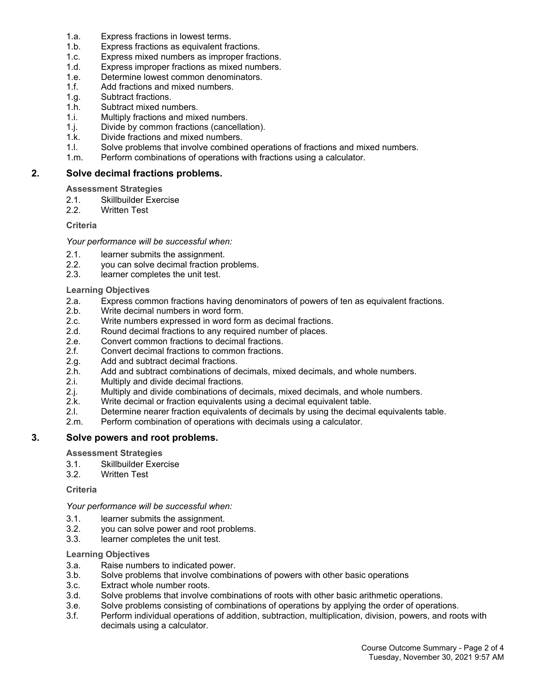- 1.a. Express fractions in lowest terms.
- 1.b. Express fractions as equivalent fractions.
- 1.c. Express mixed numbers as improper fractions.
- 1.d. Express improper fractions as mixed numbers.
- 1.e. Determine lowest common denominators.
- 1.f. Add fractions and mixed numbers.
- 1.g. Subtract fractions.
- 1.h. Subtract mixed numbers.
- 1.i. Multiply fractions and mixed numbers.
- 1.j. Divide by common fractions (cancellation).
- 1.k. Divide fractions and mixed numbers.
- 1.l. Solve problems that involve combined operations of fractions and mixed numbers.
- 1.m. Perform combinations of operations with fractions using a calculator.

#### **2. Solve decimal fractions problems.**

**Assessment Strategies**

- 2.1. Skillbuilder Exercise
- 2.2. Written Test

#### **Criteria**

*Your performance will be successful when:*

- 2.1. learner submits the assignment.
- 2.2. you can solve decimal fraction problems.
- 2.3. learner completes the unit test.

#### **Learning Objectives**

- 2.a. Express common fractions having denominators of powers of ten as equivalent fractions.
- 2.b. Write decimal numbers in word form.
- 2.c. Write numbers expressed in word form as decimal fractions.
- 2.d. Round decimal fractions to any required number of places.
- 2.e. Convert common fractions to decimal fractions.
- 2.f. Convert decimal fractions to common fractions.
- 2.g. Add and subtract decimal fractions.
- 2.h. Add and subtract combinations of decimals, mixed decimals, and whole numbers.
- 2.i. Multiply and divide decimal fractions.
- 2.j. Multiply and divide combinations of decimals, mixed decimals, and whole numbers.
- 2.k. Write decimal or fraction equivalents using a decimal equivalent table.
- 2.l. Determine nearer fraction equivalents of decimals by using the decimal equivalents table.
- 2.m. Perform combination of operations with decimals using a calculator.

#### **3. Solve powers and root problems.**

**Assessment Strategies**

- 3.1. Skillbuilder Exercise
- 3.2. Written Test

**Criteria**

*Your performance will be successful when:*

- 3.1. learner submits the assignment.
- 3.2. you can solve power and root problems.
- 3.3. learner completes the unit test.

#### **Learning Objectives**

- 3.a. Raise numbers to indicated power.
- 3.b. Solve problems that involve combinations of powers with other basic operations
- 3.c. Extract whole number roots.
- 3.d. Solve problems that involve combinations of roots with other basic arithmetic operations.
- 3.e. Solve problems consisting of combinations of operations by applying the order of operations.
- 3.f. Perform individual operations of addition, subtraction, multiplication, division, powers, and roots with decimals using a calculator.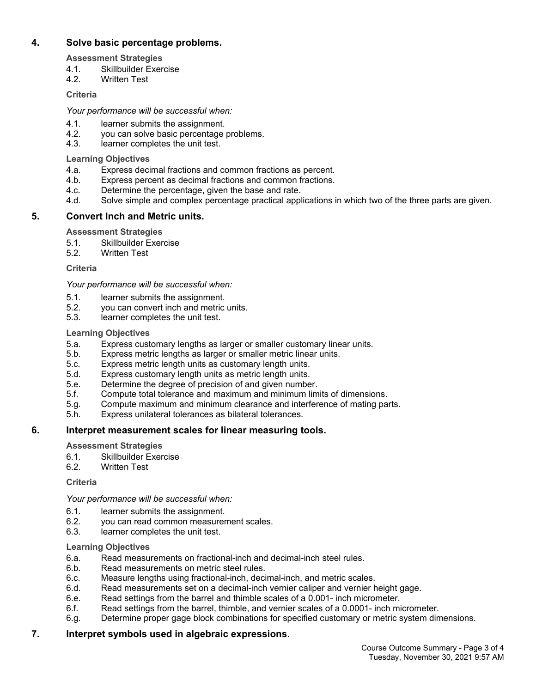#### **4. Solve basic percentage problems.**

**Assessment Strategies**

- 4.1. Skillbuilder Exercise
- 4.2. Written Test

#### **Criteria**

#### *Your performance will be successful when:*

- 4.1. learner submits the assignment.
- 4.2. you can solve basic percentage problems.
- 4.3. learner completes the unit test.

#### **Learning Objectives**

- 4.a. Express decimal fractions and common fractions as percent.
- 4.b. Express percent as decimal fractions and common fractions.
- 4.c. Determine the percentage, given the base and rate.
- 4.d. Solve simple and complex percentage practical applications in which two of the three parts are given.

### **5. Convert Inch and Metric units.**

#### **Assessment Strategies**

- 5.1. Skillbuilder Exercise
- 5.2. Written Test

**Criteria**

#### *Your performance will be successful when:*

- 5.1. learner submits the assignment.
- 5.2. you can convert inch and metric units.
- 5.3. learner completes the unit test.

#### **Learning Objectives**

- 5.a. Express customary lengths as larger or smaller customary linear units.
- 5.b. Express metric lengths as larger or smaller metric linear units.
- 5.c. Express metric length units as customary length units.
- 5.d. Express customary length units as metric length units.
- 5.e. Determine the degree of precision of and given number.
- 5.f. Compute total tolerance and maximum and minimum limits of dimensions.
- 5.g. Compute maximum and minimum clearance and interference of mating parts.
- 5.h. Express unilateral tolerances as bilateral tolerances.

### **6. Interpret measurement scales for linear measuring tools.**

**Assessment Strategies**

- 6.1. Skillbuilder Exercise
- 6.2. Written Test

### **Criteria**

#### *Your performance will be successful when:*

- 6.1. learner submits the assignment.<br>6.2. vou can read common measurer
- 6.2. you can read common measurement scales.
- 6.3. learner completes the unit test.

#### **Learning Objectives**

- 6.a. Read measurements on fractional-inch and decimal-inch steel rules.
- 6.b. Read measurements on metric steel rules.
- 6.c. Measure lengths using fractional-inch, decimal-inch, and metric scales.
- 6.d. Read measurements set on a decimal-inch vernier caliper and vernier height gage.
- 6.e. Read settings from the barrel and thimble scales of a 0.001- inch micrometer.
- 6.f. Read settings from the barrel, thimble, and vernier scales of a 0.0001- inch micrometer.
- 6.g. Determine proper gage block combinations for specified customary or metric system dimensions.

#### **7. Interpret symbols used in algebraic expressions.**